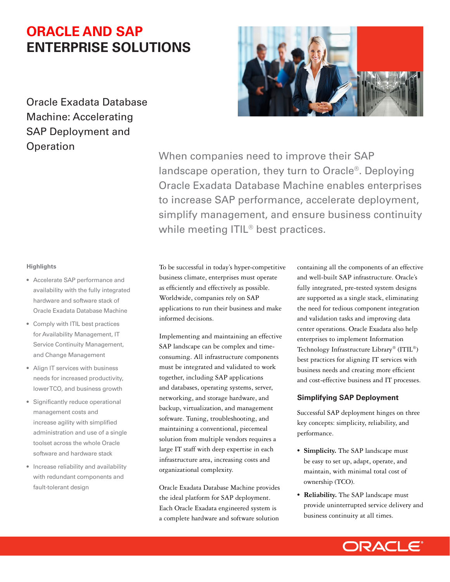# **ORACLE AND SAP ENTERPRISE SOLUTIONS**

# Oracle Exadata Database Machine: Accelerating SAP Deployment and **Operation**



When companies need to improve their SAP landscape operation, they turn to Oracle®. Deploying Oracle Exadata Database Machine enables enterprises to increase SAP performance, accelerate deployment, simplify management, and ensure business continuity while meeting ITIL<sup>®</sup> best practices.

#### **Highlights**

- Accelerate SAP performance and availability with the fully integrated hardware and software stack of Oracle Exadata Database Machine
- Comply with ITIL best practices for Availability Management, IT Service Continuity Management, and Change Management
- Align IT services with business needs for increased productivity, lower TCO, and business growth
- Significantly reduce operational management costs and increase agility with simplified administration and use of a single toolset across the whole Oracle software and hardware stack
- Increase reliability and availability with redundant components and fault-tolerant design

To be successful in today's hyper-competitive business climate, enterprises must operate as efficiently and effectively as possible. Worldwide, companies rely on SAP applications to run their business and make informed decisions.

Implementing and maintaining an effective SAP landscape can be complex and timeconsuming. All infrastructure components must be integrated and validated to work together, including SAP applications and databases, operating systems, server, networking, and storage hardware, and backup, virtualization, and management software. Tuning, troubleshooting, and maintaining a conventional, piecemeal solution from multiple vendors requires a large IT staff with deep expertise in each infrastructure area, increasing costs and organizational complexity.

Oracle Exadata Database Machine provides the ideal platform for SAP deployment. Each Oracle Exadata engineered system is a complete hardware and software solution

containing all the components of an effective and well-built SAP infrastructure. Oracle's fully integrated, pre-tested system designs are supported as a single stack, eliminating the need for tedious component integration and validation tasks and improving data center operations. Oracle Exadata also help enterprises to implement Information Technology Infrastructure Library® (ITIL®) best practices for aligning IT services with business needs and creating more efficient and cost-effective business and IT processes.

# **Simplifying SAP Deployment**

Successful SAP deployment hinges on three key concepts: simplicity, reliability, and performance.

- **Simplicity.** The SAP landscape must be easy to set up, adapt, operate, and maintain, with minimal total cost of ownership (TCO).
- **Reliability.** The SAP landscape must provide uninterrupted service delivery and business continuity at all times.

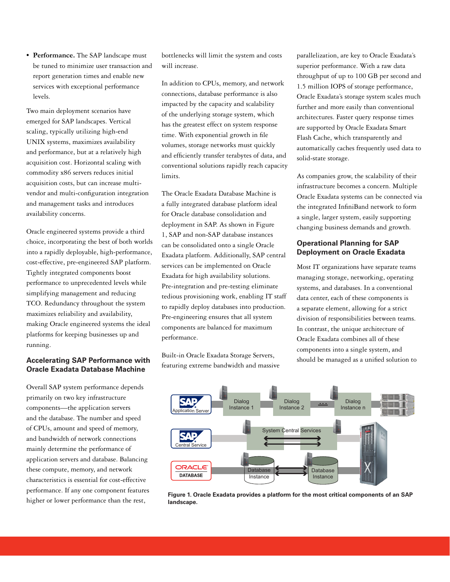**Performance.** The SAP landscape must be tuned to minimize user transaction and report generation times and enable new services with exceptional performance levels.

Two main deployment scenarios have emerged for SAP landscapes. Vertical scaling, typically utilizing high-end UNIX systems, maximizes availability and performance, but at a relatively high acquisition cost. Horizontal scaling with commodity x86 servers reduces initial acquisition costs, but can increase multivendor and multi-confguration integration and management tasks and introduces availability concerns.

Oracle engineered systems provide a third choice, incorporating the best of both worlds into a rapidly deployable, high-performance, cost-effective, pre-engineered SAP platform. Tightly integrated components boost performance to unprecedented levels while simplifying management and reducing TCO. Redundancy throughout the system maximizes reliability and availability, making Oracle engineered systems the ideal platforms for keeping businesses up and running.

#### **Accelerating SAP Performance with Oracle Exadata Database Machine**

Overall SAP system performance depends primarily on two key infrastructure components—the application servers and the database. The number and speed of CPUs, amount and speed of memory, and bandwidth of network connections mainly determine the performance of application servers and database. Balancing these compute, memory, and network characteristics is essential for cost-effective performance. If any one component features higher or lower performance than the rest,

bottlenecks will limit the system and costs will increase.

In addition to CPUs, memory, and network connections, database performance is also impacted by the capacity and scalability of the underlying storage system, which has the greatest effect on system response time. With exponential growth in fle volumes, storage networks must quickly and effciently transfer terabytes of data, and conventional solutions rapidly reach capacity limits.

The Oracle Exadata Database Machine is a fully integrated database platform ideal for Oracle database consolidation and deployment in SAP. As shown in Figure 1, SAP and non-SAP database instances can be consolidated onto a single Oracle Exadata platform. Additionally, SAP central services can be implemented on Oracle Exadata for high availability solutions. Pre-integration and pre-testing eliminate tedious provisioning work, enabling IT staff to rapidly deploy databases into production. Pre-engineering ensures that all system components are balanced for maximum performance.

Built-in Oracle Exadata Storage Servers, featuring extreme bandwidth and massive parallelization, are key to Oracle Exadata's superior performance. With a raw data throughput of up to 100 GB per second and 1.5 million IOPS of storage performance, Oracle Exadata's storage system scales much further and more easily than conventional architectures. Faster query response times are supported by Oracle Exadata Smart Flash Cache, which transparently and automatically caches frequently used data to solid-state storage.

As companies grow, the scalability of their infrastructure becomes a concern. Multiple Oracle Exadata systems can be connected via the integrated InfniBand network to form a single, larger system, easily supporting changing business demands and growth.

# **Operational Planning for SAP Deployment on Oracle Exadata**

Most IT organizations have separate teams managing storage, networking, operating systems, and databases. In a conventional data center, each of these components is a separate element, allowing for a strict division of responsibilities between teams. In contrast, the unique architecture of Oracle Exadata combines all of these components into a single system, and should be managed as a unifed solution to



**Figure 1. Oracle Exadata provides a platform for the most critical components of an SAP landscape.**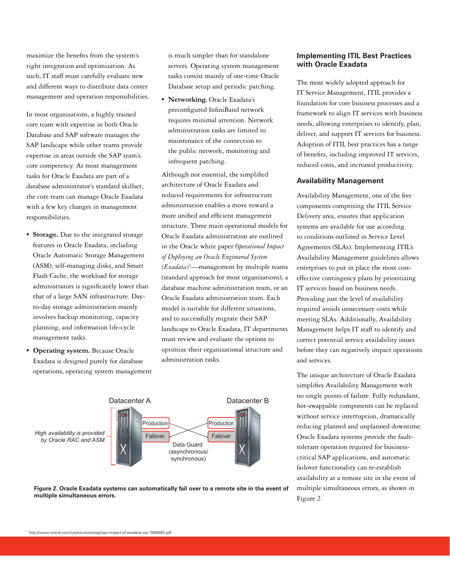maximize the benefts from the system's tight integration and optimization. As such, IT staff must carefully evaluate new and different ways to distribute data center management and operation responsibilities.

In most organizations, a highly trained core team with expertise in both Oracle Database and SAP software manages the SAP landscape while other teams provide expertise in areas outside the SAP team's core competency. As most management tasks for Oracle Exadata are part of a database administrator's standard skillset, the core team can manage Oracle Exadata with a few key changes in management responsibilities.

- **Storage.** Due to the integrated storage features in Oracle Exadata, including Oracle Automatic Storage Management (ASM), self-managing disks, and Smart Flash Cache, the workload for storage administrators is signifcantly lower than that of a large SAN infrastructure. Dayto-day storage administration mainly involves backup monitoring, capacity planning, and information life-cycle management tasks.
- **Operating system.** Because Oracle Exadata is designed purely for database operations, operating system management

is much simpler than for standalone servers. Operating system management tasks consist mainly of one-time Oracle Database setup and periodic patching.

 **Networking.** Oracle Exadata's preconfgured InfniBand network requires minimal attention. Network administration tasks are limited to maintenance of the connection to the public network, monitoring and infrequent patching.

Although not essential, the simplifed architecture of Oracle Exadata and reduced requirements for infrastructure administration enables a move toward a more unified and efficient management structure. Three main operational models for Oracle Exadata administration are outlined in the Oracle white paper *Operational Impact of Deploying an Oracle Engineered System (Exadata)*<sup>1</sup> —management by multiple teams (standard approach for most organizations), a database machine administration team, or an Oracle Exadata administration team. Each model is suitable for different situations, and to successfully migrate their SAP landscape to Oracle Exadata, IT departments must review and evaluate the options to optimize their organizational structure and administration tasks.





# **Implementing ITIL Best Practices with Oracle Exadata**

The most widely adopted approach for IT Service Management, ITIL provides a foundation for core business processes and a framework to align IT services with business needs, allowing enterprises to identify, plan, deliver, and support IT services for business. Adoption of ITIL best practices has a range of benefts, including improved IT services, reduced costs, and increased productivity.

#### **Availability Management**

Availability Management, one of the fve components comprising the ITIL Service Delivery area, ensures that application systems are available for use according to conditions outlined in Service Level Agreements (SLAs). Implementing ITIL's Availability Management guidelines allows enterprises to put in place the most costeffective contingency plans by prioritizing IT services based on business needs. Providing just the level of availability required avoids unnecessary costs while meeting SLAs. Additionally, Availability Management helps IT staff to identify and correct potential service availability issues before they can negatively impact operations and services.

reducing planned and unplanned downtime. The unique architecture of Oracle Exadata simplifes Availability Management with no single points of failure. Fully redundant, hot-swappable components can be replaced without service interruption, dramatically Oracle Exadata systems provide the faulttolerant operation required for businesscritical SAP applications, and automatic failover functionality can re-establish availability at a remote site in the event of multiple simultaneous errors, as shown in Figure 2.